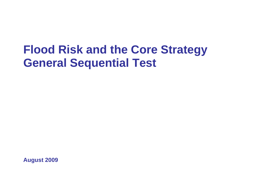# **Flood Risk and the Core Strategy General Sequential Test**

**August 2009**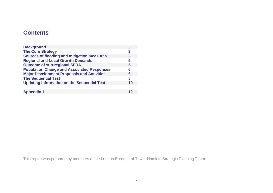# **Contents**

| <b>Background</b>                                  | 3  |
|----------------------------------------------------|----|
| <b>The Core Strategy</b>                           | 3  |
| <b>Sources of flooding and mitigation measures</b> | 3  |
| <b>Regional and Local Growth Demands</b>           | 5  |
| <b>Outcome of sub-regional SFRA</b>                | 5  |
| <b>Population Change and Associated Responses</b>  | 6  |
| <b>Major Development Proposals and Activities</b>  | 6  |
| <b>The Sequential Test</b>                         | 8  |
| <b>Updating information on the Sequential Test</b> | 10 |
|                                                    |    |
| <b>Appendix 1</b>                                  |    |

This report was prepared by members of the London Borough of Tower Hamlets Strategic Planning Team.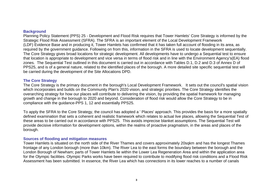#### **Background**

Planning Policy Statement (PPS) 25 - Development and Flood Risk requires that Tower Hamlets' Core Strategy is informed by the Strategic Flood Risk Assessment (SFRA). The SFRA is an important element of the Local Development Framework (LDF) Evidence Base and in producing it, Tower Hamlets has confirmed that it has taken full account of flooding in its area, as required by the government guidance. Following on from this, information in the SFRA is used to locate development sequentially. The Core Strategy gives broad locations for strategic development. All developments have to undergo a Sequential test to ensure that location is appropriate to development and vice versa in terms of flood risk and in line with the Environment Agency's(EA) flood zones. The Sequential Test outlined in this document is carried out in accordance with Tables D.1, D.2 and D.3 of Annex D of PPS25, and is of a general nature, related to the identified places of the borough. A more detailed site specific sequential test will be carried during the development of the Site Allocations DPD.

### **The Core Strategy**

The Core Strategy is the primary document in the borough's Local Development Framework. It sets out the council's spatial vision which incorporates and builds on the Community Plan's 2020 vision, and strategic priorities. The Core Strategy identifies the overarching strategy for how our places will contribute to delivering the vision, by providing the spatial framework for managing growth and change in the borough to 2020 and beyond. Consideration of flood risk would allow the Core Strategy to be in compliance with the guidance-PPS 1, 12 and essentially PPS25.

To apply the SFRA to the Core Strategy, the council has adopted a ' Places' approach. This provides the basis for a more spatially defined examination that sets a coherent and realistic framework which relates to actual live places, allowing the Sequential Test of these areas to be carried out in accordance with PPS25. This avoids imprecise blanket assumptions. The Sequential Test will provide decisive information for development options, within the realms of proactive pragmatism, in the areas and places of the borough.

#### **Sources of flooding and mitigation measures**

Tower Hamlets is situated on the north side of the River Thames and covers approximately 20sqkm and has the longest Thames frontage of any London borough (more than 10km). The River Lea to the east forms the boundary between the borough and the London Borough of Newham; parts of Tower Hamlets lie within the Lower Lea Regeneration Area and within the application area for the Olympic facilities. Olympic Parks works have been required to contribute to modifying flood risk conditions and a Flood Risk Assessment has been submitted. In essence, the River Lea which has connections in its lower reaches to a number of canals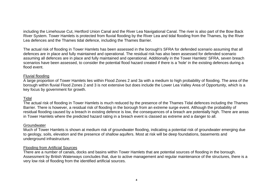including the Limehouse Cut, Hertford Union Canal and the River Lea Navigational Canal. The river is also part of the Bow Back River System. Tower Hamlets is protected from fluvial flooding by the River Lea and tidal flooding from the Thames, by the River Lea defences and the Thames tidal defence, including the Thames Barrier.

The actual risk of flooding in Tower Hamlets has been assessed in the borough's SFRA for defended scenario assuming that all defences are in place and fully maintained and operational. The residual risk has also been assessed for defended scenario assuming all defences are in place and fully maintained and operational. Additionally in the Tower Hamlets' SFRA, seven breach scenarios have been assessed, to consider the potential flood hazard created if there is a 'hole' in the existing defences during a flood event.

# Fluvial flooding

A large proportion of Tower Hamlets lies within Flood Zones 2 and 3a with a medium to high probability of flooding. The area of the borough within fluvial Flood Zones 2 and 3 is not extensive but does include the Lower Lea Valley Area of Opportunity, which is a key focus by government for growth.

# Tidal

The actual risk of flooding in Tower Hamlets is much reduced by the presence of the Thames Tidal defences including the Thames Barrier. There is however, a residual risk of flooding in the borough from an extreme surge event. Although the probability of residual flooding caused by a breach in existing defence is low, the consequences of a breach are potentially high. There are areas in Tower Hamlets where the predicted hazard rating in a breach event is classed as extreme and a danger to all.

# Groundwater

Much of Tower Hamlets is shown at medium risk of groundwater flooding, indicating a potential risk of groundwater emerging due to geology, soils, elevation and the presence of shallow aquifers. Most at risk will be deep foundations, basements and underground infrastructure.

# Flooding from Artificial Sources

There are a number of canals, docks and basins within Tower Hamlets that are potential sources of flooding in the borough. Assessment by British Waterways concludes that, due to active management and regular maintenance of the structures, there is a very low risk of flooding from the identified artificial sources.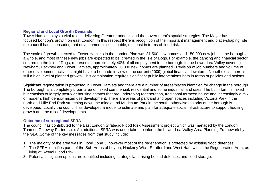#### **Regional and Local Growth Demands**

Tower Hamlets plays a vital role in delivering Greater London's and the government's spatial strategies. The Mayor has focused London's growth on east London. In this respect there is recognition of the important management and place-shaping role the council has, in ensuring that development is sustainable, not least in terms of flood risk.

The scale of growth directed to Tower Hamlets in the London Plan was 31,500 new homes and 150,000 new jobs in the borough as a whole, and most of these new jobs are expected to be created in the Isle of Dogs. For example, the banking and financial sector centred on the Isle of Dogs, represents approximately 40% of all employment in the borough. In the Lower Lea Valley covering Newham, Hackney and Tower Hamlets, approximately 30,000 new homes are planned. Revision of job numbers and volume of other development activities might have to be made in view of the current (2009) global financial downturn. Nonetheless, there is still a high level of planned growth. This combination requires significant public interventions both in terms of policies and actions.

Significant regeneration is proposed in Tower Hamlets and there are a number of areas/places identified for change in the borough. The borough is a completely urban area of mixed commercial, residential and some industrial land uses. The built- form is mixed but consists of largely post-war housing estates that are undergoing regeneration, traditional terraced house and increasingly a mix of modern, high density mixed use development. There are areas of parkland and open spaces including Victoria Park in the north and Mile End Park stretching down the middle and Mudchute Park in the south, otherwise majority of the borough is developed. Locally the council has developed a model to estimate and plan for adequate social infrastructure to support housing growth and the mix of developments.

# **Outcome of sub-regional SFRA**

The council has contributed to the East London Strategic Flood Risk Assessment project which was managed by the London Thames Gateway Partnership. An additional SFRA was undertaken to inform the Lower Lea Valley Area Planning Framework by the GLA .Some of the key messages from that study include:

- 1. The majority of the area was in Flood Zone 3, however most of the regeneration is protected by existing flood defences
- 2. The SFRA identifies parts of the Sub-Areas of Leyton, Hackney Wick, Stratford and West Ham within the Regeneration Area, as lying at 'Actual Flood Risk'
- 3. Potential mitigation options are identified including strategic land rising behind defences and flood storage.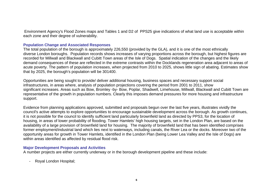Environment Agency's Flood Zones maps and Tables 1 and D2 of PPS25 give indications of what land use is acceptable within each zone and their degree of vulnerability.

### **Population Change and Associated Responses**

The total population of the borough is approximately 226,550 (provided by the GLA), and it is one of the most ethnically diverse London boroughs. Population records shows increases of varying proportions across the borough, but highest figures are recorded for Millwall and Blackwall and Cubitt Town areas of the Isle of Dogs. Spatial indication of the changes and the likely demand consequences of these are reflected in the extreme contrasts within the Docklands regeneration area adjacent to areas of acute poverty. The pattern of population increases, when projected from 2010 to 2025, shows little sign of abating. Estimates show that by 2025, the borough's population will be 301400.

Opportunities are being sought to provide/ deliver additional housing, business spaces and necessary support social infrastructures, in areas where, analysis of population projections covering the period from 2001 to 2011, show significant increases. Areas such as Bow, Bromley -by- Bow, Poplar, Shadwell, Limehouse, Millwall, Blackwall and Cubitt Town are representative of the growth in population numbers. Clearly this imposes demand pressures for more housing and infrastructure support.

Evidence from planning applications approved, submitted and proposals begun over the last five years, illustrates vividly the council's active attempts to explore opportunities to encourage sustainable development across the borough. As growth continues, it is not possible for the council to identify sufficient land particularly brownfield land as directed by PPS3, for the location of housing, in areas of lower probability of flooding. Tower Hamlets' high housing targets, set in the London Plan, are based on the availability of a large provision of brownfield land for housing. The majority of brownfield land that has been identified comprises former employment/industrial land which lies next to waterways, including canals, the River Lea or the docks. Moreover two of the opportunity areas for growth in Tower Hamlets, identified in the London Plan (being Lower Lea Valley and the Isle of Dogs) are within areas identified as affected by residual flood risk.

#### **Major Development Proposals and Activities**

A number projects are either currently underway or in the borough development pipeline and these include:

- Royal London Hospital;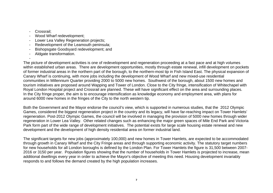- Crossrail;

-

- Wood Wharf redevelopment;
- Lower Lea Valley Regeneration projects;
- Redevelopment of the Leamouth peninsula;
- Bishopsgate Goodsyard redevelopment; and
- Aldgate transformation.

The picture of development activities is one of redevelopment and regeneration proceeding at a fast pace and at high volumes within established urban areas. There are development opportunities, mostly through estate renewal, infill development on pockets of former industrial areas in the northern part of the borough, to the northern-most tip in Fish Island East. The physical expansion of Canary Wharf is continuing, with more jobs including the development of Wood Wharf and new mixed-use residential communities in Millennium Quarter providing 2000 to 5000 new homes. Southwest of the borough, about 1500 new homes and tourism initiatives are proposed around Wapping and Tower of London. Close to the City fringe, intensification of Whitechapel with Royal London Hospital project and Crossrail are planned. These will have significant effect on the area and surrounding places. In the City fringe proper, the aim is to encourage intensification as knowledge economy and employment area, with plans for around 6000 new homes in the fringes of the City to the north western tip.

Both the Government and the Mayor endorse the council's view, which is supported in numerous studies, that the 2012 Olympic Games, considered the biggest regeneration project in the country and its legacy, will have far-reaching impact on Tower Hamlets' regeneration. Post-2012 Olympic Games, the council will be involved in managing the provision of 5000 new homes through wider regeneration in Lower Lea Valley. Other related changes such as enhancing the major green spaces of Mile End Park and Victoria Park form part of the wide range of development initiatives. The potential exists for large scale housing estate renewal and new development and the development of high density residential area on former industrial land.

The significant targets for new jobs (approximately 100,000) and new homes in Tower Hamlets, are expected to be accommodated through growth in Canary Wharf and the City Fringe areas and through supporting economic activity. The statutory target numbers for new households for all London boroughs is defined by the London Plan. For Tower Hamlets the figure is 31,500 between 2007- 2016 or 3150 per year. Population figures showing that the number of households in Tower Hamlets is projected to increase, mean additional dwellings every year in order to achieve the Mayor's objective of meeting this need. Housing development invariably responds to and follows the demand created by the high population increases.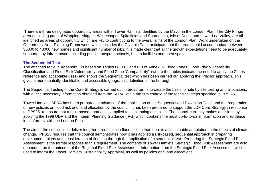There are three designated opportunity areas within Tower Hamlets identified by the Mayor in the London Plan. The City Fringe area (including parts of Wapping, Aldgate, Whitechapel, Spitalfields and Shoreditch), Isle of Dogs, and Lower Lea Valley, are all identified as areas of opportunity which are key to contributing to the overall aims of the London Plan. Work undertaken on the Opportunity Area Planning Framework, which includes the Olympic Park, anticipate that the area should accommodate between 30000 to 40000 new homes and significant number of jobs. It is made clear that all the growth expectations need to be adequately supported by infrastructure including public transport, schools, health facilities and open space.

# **The Sequential Test**

The attached table in Appendix 1 is based on Tables D.1,D.2 and D.3 of Annex D- Flood Zones, Flood Risk Vulnerability Classification and Flood Risk Vulnerability and Flood Zone 'Compatibility' (where the tables indicate the need to apply the Zones reference and acceptable uses) and shows the Sequential test which has been carried out applying the 'Places' approach. This gives a more spatially identifiable and accessible geographic definition to the borough.

The Sequential Testing of the Core Strategy is carried out in broad terms to create the basis for site by site testing and allocations, with all the necessary information obtained from the SFRA within the firm context of the technical steps specified in PPS 25.

Tower Hamlets' SFRA has been prepared in advance of the application of the Sequential and Exception Tests and the preparation of new policies on flood risk and land allocation by the council. It has been prepared to support the LDF Core Strategy in response to PPS25- to ensure that a risk -based approach is applied to all planning decisions. The council currently makes decisions by applying the 1998 UDP and the Interim Planning Guidance (IPG) which contains the most up-to-to-date information and evidence in conformity with the London Plan.

The aim of the council is to deliver long-term reduction in flood risk so that there is a sustainable adaptation to the effects of climate change. PPS25 requires that the council demonstrates how it has applied a risk-based, sequential approach in preparing development plans and consideration of flooding through the application of a sequential test. Preparing the Strategic Flood Risk Assessment is the formal response to this requirement. The contents of Tower Hamlets' Strategic Flood Risk Assessment are also dependent on the outcome of the Regional Flood Risk Assessment. Information from the Strategic Flood Risk Assessment will be used to inform the Tower Hamlets' Sustainability Appraisal, as well as policies and land allocations.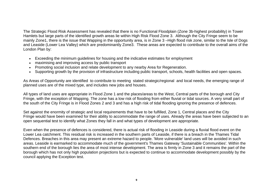The Strategic Flood Risk Assessment has revealed that there is no Functional Floodplain (Zone 3b-highest probability) in Tower Hamlets but large parts of the identified growth areas lie within High Risk Flood Zone 3. Although the City Fringe seem to be mainly Zone1, there is the issue that Wapping in the opportunity area, is in Zone 3 –High flood risk zone, similar to the Isle of Dogs and Leaside (Lower Lea Valley) which are predominantly Zone3. These areas are expected to contribute to the overall aims of the London Plan by:

- Exceeding the minimum guidelines for housing and the indicative estimates for employment
- maximising and improving access by public transport
- Promoting social inclusion and relate development to any nearby Area for Regeneration.
- Supporting growth by the provision of infrastructure including public transport, schools, health facilities and open spaces.

As Areas of Opportunity are identified to contribute to meeting stated strategic/regional and local needs, the emerging range of planned uses are of the mixed type, and includes new jobs and houses.

All types of land uses are appropriate in Flood Zone 1 and the places/areas to the West, Central parts of the borough and City Fringe, with the exception of Wapping. The zone has a low risk of flooding from either fluvial or tidal sources. A very small part of the south of the City Fringe is in Flood Zones 2 and 3 and has a high risk of tidal flooding ignoring the presence of defences.

Set against the enormity of strategic and local requirements that have to be fulfilled, Zone 1, Central places and the City Fringe would have been examined for their ability to accommodate the range of uses. Already the areas have been subjected to an open sequential test to identify what Zones they fall in and what types of development are appropriate.

Even when the presence of defences is considered, there is actual risk of flooding in Leaside during a fluvial flood event on the Lower Lea catchment. This residual risk is increased in the southern parts of Leaside, if there is a breach in the Thames Tidal Defences. Breaches in this area may present an extreme hazard to people. 'More vulnerable' land uses will be avoided in such areas. Leaside is earmarked to accommodate much of the government's Thames Gateway 'Sustainable Communities'. Within the southern end of the borough lies the area of most intense development. The area is firmly in Zone 3 and it remains the part of the borough which has not only high population projections but is expected to continue to accommodate development possibly by the council applying the Exception test.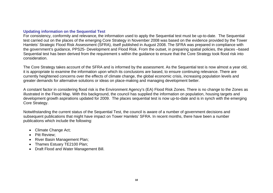# **Updating information on the Sequential Test**

For consistency, conformity and relevance, the information used to apply the Sequential test must be up-to-date. The Sequential test carried out on the places of the emerging Core Strategy in November 2008 was based on the evidence provided by the Tower Hamlets' Strategic Flood Risk Assessment (SFRA), itself published in August 2008. The SFRA was prepared in compliance with the government's guidance, PPS25- Development and Flood Risk. From the outset, in preparing spatial policies, the places –based Sequential test has been derived from the requirement s within the guidance to ensure that the Core Strategy took flood risk into consideration.

The Core Strategy takes account of the SFRA and is informed by the assessment. As the Sequential test is now almost a year old, it is appropriate to examine the information upon which its conclusions are based, to ensure continuing relevance. There are currently heightened concerns over the effects of climate change, the global economic crisis, increasing population levels and greater demands for alternative solutions or ideas on place-making and managing development better.

A constant factor in considering flood risk is the Environment Agency's (EA) Flood Risk Zones. There is no change to the Zones as illustrated in the Flood Map. With this background, the council has supplied the information on population, housing targets and development growth aspirations updated for 2009. The places sequential test is now up-to-date and is in synch with the emerging Core Strategy.

Notwithstanding the current status of the Sequential Test, the council is aware of a number of government decisions and subsequent publications that might have impact on Tower Hamlets' SFRA. In recent months, there have been a number publications which include the following:

- Climate Change Act;
- Pitt Review;
- River Basin Management Plan;
- Thames Estuary TE2100 Plan:
- Draft Flood and Water Management Bill.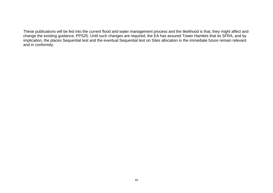These publications will be fed into the current flood and water management process and the likelihood is that, they might affect and change the existing guidance, PPS25. Until such changes are required, the EA has assured Tower Hamlets that its SFRA, and by implication, the places Sequential test and the eventual Sequential test on Sites allocation in the immediate future remain relevant and in conformity.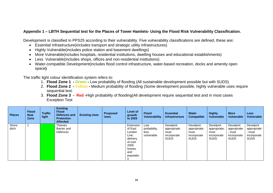# **Appendix 1 – LBTH Sequential test for the Places of Tower Hamlets- Using the Flood Risk Vulnerability Classification.**

Development is classified in PPS25 according to their vulnerability. Five vulnerability classifications are defined, these are**:** 

- Essential Infrastructure(includes transport and strategic utility infrastructures)
- Highly Vulnerable(includes police station and basement dwellings)
- More Vulnerable(includes hospitals, residential institutions, dwelling houses and educational establishments)
- Less Vulnerable(includes shops, offices and non-residential institutions)
- Water-compatible Development(includes flood control infrastructure, water-based recreation, docks and amenity open space**)**

The traffic light colour identification system refers to:

- 1. **Flood Zone 1 Green** Low probability of flooding (All sustainable development possible but with SUDS)
- 2. **Flood Zone 2 Yellow -** Medium probability of flooding (Some development possible, highly vulnerable uses require sequential test.
- 3. **Flood Zone 3 Red -**High probability of flooding(All development require sequential test and in most cases Exception Test

| <b>Places</b>  | <b>Flood</b><br><b>Risk</b><br>Zone | <b>Traffic</b><br>light | <b>Existing</b><br><b>Flood</b><br>Defences and<br><b>Protection</b><br><b>Afforded</b> | <b>Existing Uses</b> | <b>Proposed</b><br><b>Uses</b> | <b>Level of</b><br>growth<br>to 2025                                                                | <b>Flood</b><br><b>Vulnerability</b>      | <b>Essential</b><br><b>Infrastructure</b>                      | <b>Water</b><br><b>Compatible</b>                       | <b>Highly</b><br>Vulnerable                                    | <b>More</b><br><b>Vulnerable</b>                                | <b>Less</b><br><b>Vulnerable</b>                                |
|----------------|-------------------------------------|-------------------------|-----------------------------------------------------------------------------------------|----------------------|--------------------------------|-----------------------------------------------------------------------------------------------------|-------------------------------------------|----------------------------------------------------------------|---------------------------------------------------------|----------------------------------------------------------------|-----------------------------------------------------------------|-----------------------------------------------------------------|
| Shore<br>ditch |                                     |                         | Thames<br>Barrier and<br>Defences                                                       |                      |                                | Extension<br>of East<br>London<br>Line:<br>delivery<br>of over<br>2000<br>homes<br>and<br>populatio | Low<br>probability,<br>less<br>vulnerable | Develpmt<br>appropriate;<br>must<br>incorporate<br><b>SUDS</b> | Develpmt<br>appropriate;<br>must<br>incorporate<br>SUDS | Develpmt<br>appropriate;<br>must<br>incorporate<br><b>SUDS</b> | Develpmt<br>appropriate<br>: must<br>incorporate<br><b>SUDS</b> | Develpmt<br>appropriate<br>; must<br>incorporate<br><b>SUDS</b> |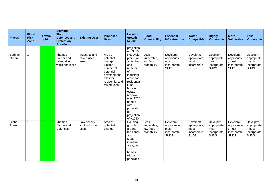| <b>Places</b>    | <b>Flood</b><br><b>Risk</b><br>Zone | <b>Traffic</b><br>light | <b>Existing</b><br><b>Flood</b><br><b>Defences and</b><br><b>Protection</b><br><b>Afforded</b> | <b>Existing Uses</b>                    | <b>Proposed</b><br><b>Uses</b>                                                                                                    | Level of<br>growth<br>to 2025                                                                                                                                                                                          | <b>Flood</b><br><b>Vulnerability</b>            | <b>Essential</b><br><b>Infrastructure</b>                      | <b>Water</b><br><b>Compatible</b>                              | <b>Highly</b><br><b>Vulnerable</b>                             | <b>More</b><br>Vulnerable                                       | <b>Less</b><br><b>Vulnerable</b>                                |
|------------------|-------------------------------------|-------------------------|------------------------------------------------------------------------------------------------|-----------------------------------------|-----------------------------------------------------------------------------------------------------------------------------------|------------------------------------------------------------------------------------------------------------------------------------------------------------------------------------------------------------------------|-------------------------------------------------|----------------------------------------------------------------|----------------------------------------------------------------|----------------------------------------------------------------|-----------------------------------------------------------------|-----------------------------------------------------------------|
|                  |                                     |                         |                                                                                                |                                         |                                                                                                                                   | projection<br>of +3350                                                                                                                                                                                                 |                                                 |                                                                |                                                                |                                                                |                                                                 |                                                                 |
| Bethnal<br>Green | $\overline{1}$                      |                         | Thames<br>Barrier and<br>raised river<br>walls and locks                                       | Industrial and<br>mixed uses<br>areas   | Area of<br>potential<br>change.<br>Limited<br>number of<br>potential<br>development<br>sites for<br>residential and<br>mixed uses | Redevolo<br>pment of<br>a number<br>of a<br>number<br>of<br>industrial<br>areas for<br>residentia<br>I use,<br>housing<br>estate<br>renewal<br>over 1200<br>homes<br>with<br>populatio<br>n.<br>projection<br>of +1650 | Less<br>vulnerable,<br>low flood<br>probability | Develpmt<br>appropriate;<br>must<br>incorporate<br><b>SUDS</b> | Develpmt<br>appropriate;<br>must<br>incorporate<br><b>SUDS</b> | Develpmt<br>appropriate;<br>must<br>incorporate<br><b>SUDS</b> | Develpmt<br>appropriate<br>; must<br>incorporate<br><b>SUDS</b> | Develpmt<br>appropriate<br>; must<br>incorporate<br><b>SUDS</b> |
| Globe<br>Town    | $\overline{\mathbf{1}}$             |                         | Thames<br>Barrier and<br>Defences                                                              | Low density<br>light industrial<br>uses | Area of<br>potential<br>change                                                                                                    | Housing<br>growth<br>around<br>the canal<br>and<br>Meath<br>Gardens<br>area;over<br>100<br>homes<br>with a<br>populatio                                                                                                | Less<br>vulnerable,<br>low flood<br>probability | Develpmt<br>appropriate;<br>must<br>incorporate<br><b>SUDS</b> | Develpmt<br>appropriate;<br>must<br>incorporate<br><b>SUDS</b> | Develpmt<br>appropriate;<br>must<br>incorporate<br><b>SUDS</b> | Develpmt<br>appropriate<br>; must<br>incorporate<br><b>SUDS</b> | Develpmt<br>appropriate<br>; must<br>incorporate<br><b>SUDS</b> |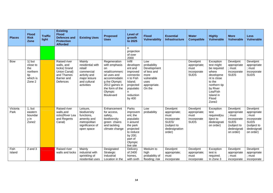| <b>Places</b>    | <b>Flood</b><br><b>Risk</b><br>Zone                                   | <b>Traffic</b><br>light | <b>Existing</b><br><b>Flood</b><br><b>Defences and</b><br><b>Protection</b><br><b>Afforded</b>            | <b>Existing Uses</b>                                                                                               | <b>Proposed</b><br><b>Uses</b>                                                                                                                                             | <b>Level of</b><br>growth<br>to 2025                                                                                                       | <b>Flood</b><br><b>Vulnerability</b>                                                                     | <b>Essential</b><br><b>Infrastructure</b>                                                          | <b>Water</b><br><b>Compatible</b>                              | <b>Highly</b><br><b>Vulnerable</b>                                                                                                                                       | <b>More</b><br><b>Vulnerable</b>                                                                           | <b>Less</b><br><b>Vulnerable</b>                                                                           |
|------------------|-----------------------------------------------------------------------|-------------------------|-----------------------------------------------------------------------------------------------------------|--------------------------------------------------------------------------------------------------------------------|----------------------------------------------------------------------------------------------------------------------------------------------------------------------------|--------------------------------------------------------------------------------------------------------------------------------------------|----------------------------------------------------------------------------------------------------------|----------------------------------------------------------------------------------------------------|----------------------------------------------------------------|--------------------------------------------------------------------------------------------------------------------------------------------------------------------------|------------------------------------------------------------------------------------------------------------|------------------------------------------------------------------------------------------------------------|
|                  |                                                                       |                         |                                                                                                           |                                                                                                                    |                                                                                                                                                                            | n.<br>projection<br>of over<br>2000                                                                                                        |                                                                                                          |                                                                                                    |                                                                |                                                                                                                                                                          |                                                                                                            |                                                                                                            |
| <b>Bow</b>       | $1()$ but<br>close to<br>the<br>northern<br>tip<br>which is<br>Zone 2 |                         | Raised river<br>walls, and<br>locks(Grand<br>Union Canal)<br>and Thames<br>Barrier and<br><b>Defences</b> | Mainly<br>residential with<br>retail/<br>commercial<br>activity and<br>major leisure<br>and cultural<br>activities | Regeneration<br>with emphasis<br>on.<br>retail/commerc<br>ial uses and<br>accommodatin<br>g the Olympic<br>2012 games in<br>the form of the<br>Olympic<br><b>Boulevard</b> | Infill<br>developm<br>ent and<br>improved<br>connectio<br>n to Fish<br>Island;<br>projected<br>populatio<br>n<br>reduction<br>by 400       | Low<br>probability<br>Development<br>of less and<br>more<br>vulnerable<br>uses<br>appropriate.<br>On the |                                                                                                    | Develpmt<br>appropriate;<br>must<br>incorporate<br><b>SUDS</b> | Exception<br>test might<br>be required<br>where<br>developme<br>nt is close<br>to the<br>northern tip<br>by River<br>Lea/Fish<br>Island in<br>Flood<br>Zone <sub>2</sub> | Develpmt<br>appropriate<br>; must<br>incorporate<br><b>SUDS</b>                                            | Develpmt<br>appropriate<br>; must<br>incorporate<br><b>SUDS</b>                                            |
| Victoria<br>Park | 1, but<br>eastern<br>boundar<br>y in<br>Zone <sub>2</sub>             |                         | Raised river<br>walls, and<br>ocks(River Lea<br>and Regents<br>Canal)                                     | Leisure,<br>biodiversity<br>functions,<br>amenity and<br>metropolitan<br>significance of<br>open space             | Enhancement<br>for access.<br>safety,<br>biodiversity<br>green chains<br>and tackling<br>climate change                                                                    | Parks<br>improvem<br>ent; the<br>populatio<br>n around<br>the park<br>projected<br>to reduce<br>by 200;<br>part of<br>Olympic<br>live site | Low<br>probability                                                                                       | Develpmt<br>appropriate;<br>must<br>incorporate<br>SUDS/<br>(subject to<br>dedesignation<br>order) | Develpmt<br>appropriate;<br>must<br>incorporate<br><b>SUDS</b> | Exception<br>test<br>required(su<br>bject to<br>dedesignati<br>on order)                                                                                                 | Develpmt<br>appropriate<br>: must<br>incorporate<br><b>SUDS</b><br>(subject to<br>dedesignati<br>on order) | Develpmt<br>appropriate<br>; must<br>incorporate<br><b>SUDS</b><br>(subject to<br>dedesignati<br>on order) |
| Fish<br>Island   | $2$ and $3$                                                           |                         | Raised river<br>walls and locks                                                                           | Mainly<br>industrial with<br>sprinkling of<br>residential uses                                                     | Designated<br>Strategic<br>Industrial<br>Location in the                                                                                                                   | Delivery<br>of 2400<br>homes.<br>with sixth                                                                                                | Meduim to<br>high<br>probability of<br>flooding; risk                                                    | Develpmt<br>appropriate;<br>must<br>incorporate                                                    | Develpmt<br>appropriate;<br>must<br>incorporate                | Exception<br>test is<br>required.<br>In Zone 3                                                                                                                           | Develpmt<br>appropriate<br>; must<br>incorporate                                                           | Develpmt<br>appropriate<br>; must<br>incorporate                                                           |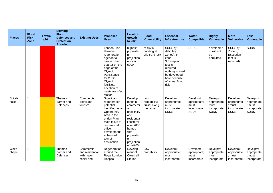| <b>Places</b>     | <b>Flood</b><br><b>Risk</b><br>Zone | <b>Traffic</b><br>light | <b>Existing</b><br><b>Flood</b><br><b>Defences and</b><br><b>Protection</b><br><b>Afforded</b> | <b>Existing Uses</b>                         | <b>Proposed</b><br><b>Uses</b>                                                                                                                                                                                       | <b>Level of</b><br>growth<br>to 2025                                                                                                                                 | <b>Flood</b><br><b>Vulnerability</b>              | <b>Essential</b><br><b>Infrastructure</b>                                                                                                                          | <b>Water</b><br><b>Compatible</b>                              | <b>Highly</b><br><b>Vulnerable</b>                             | <b>More</b><br><b>Vulnerable</b>                                | <b>Less</b><br><b>Vulnerable</b>                                |
|-------------------|-------------------------------------|-------------------------|------------------------------------------------------------------------------------------------|----------------------------------------------|----------------------------------------------------------------------------------------------------------------------------------------------------------------------------------------------------------------------|----------------------------------------------------------------------------------------------------------------------------------------------------------------------|---------------------------------------------------|--------------------------------------------------------------------------------------------------------------------------------------------------------------------|----------------------------------------------------------------|----------------------------------------------------------------|-----------------------------------------------------------------|-----------------------------------------------------------------|
|                   |                                     |                         |                                                                                                |                                              | London Plan.<br>However,<br>regeneration<br>agenda to<br>create urban<br>quarter on the<br>edge of the<br>Olympic<br>Park.Space<br>for 2012<br>Olympic<br>facilities.<br>Location of<br>waste transfer<br>station.   | highest<br>populatio<br>n.<br>projection<br>of over<br>5000                                                                                                          | of fluvial<br>flooding at<br>Old Ford lock        | SUDS /(if<br>definitely<br>Zone2). In<br>zone<br>3, Exception<br>test is<br>required;<br>nothing should<br>be developed<br>here because<br>of actual flood<br>risk | <b>SUDS</b>                                                    | developme<br>nt will not<br>be<br>permitted                    | SUDS /(if<br>Zone 3,<br>Exception<br>test is<br>required)       | <b>SUDS</b>                                                     |
| Spital-<br>fields | $\overline{1}$                      |                         | <b>Thames</b><br>Barrier and<br>Defences                                                       | Commercial<br>,retail and<br>tourism         | Significant<br>regeneration<br>potential<br>identified as an<br>Opportunity<br>Area in the $\mathsf L$<br>ondon Plan-<br>main focus of<br>commercial<br>office<br>development,<br>enhanced<br>tourist<br>destination | Develop<br>ment in<br>commerci<br>al.<br>hospitality<br>and<br>residentia<br>I sectors;<br>over 2850<br>homes<br>with<br>populatio<br>n.<br>projection<br>$of +4700$ | Low<br>probability;<br>fluvial along<br>the canal | Develpmt<br>appropriate;<br>must<br>incorporate<br><b>SUDS</b>                                                                                                     | Develpmt<br>appropriate;<br>must<br>incorporate<br><b>SUDS</b> | Develpmt<br>appropriate;<br>must<br>incorporate<br><b>SUDS</b> | Develpmt<br>appropriate<br>; must<br>incorporate<br><b>SUDS</b> | Develpmt<br>appropriate<br>; must<br>incorporate<br><b>SUDS</b> |
| White<br>chapel   | $\overline{\mathbf{1}}$             |                         | Thames<br>Barrier and<br>Defences                                                              | Commercial<br>and residential,<br>with major | Regeneration<br>around the<br>Royal London                                                                                                                                                                           | Develop<br>ment of<br>Crossrail                                                                                                                                      | Low<br>probability                                | Develpmt<br>appropriate;<br>must                                                                                                                                   | Develpmt<br>appropriate;<br>must                               | Develpmt<br>appropriate;<br>must                               | Develpmt<br>appropriate<br>; must                               | Develpmt<br>appropriate<br>; must                               |
|                   |                                     |                         |                                                                                                | social and                                   | Hospital,                                                                                                                                                                                                            | Station                                                                                                                                                              |                                                   | incorporate                                                                                                                                                        | incorporate                                                    | incorporate                                                    | incorporate                                                     | incorporate                                                     |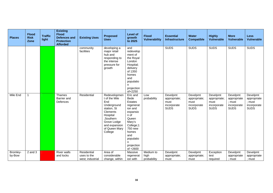| <b>Places</b>      | <b>Flood</b><br><b>Risk</b><br>Zone | <b>Traffic</b><br>light | <b>Existing</b><br><b>Flood</b><br><b>Defences and</b><br><b>Protection</b><br><b>Afforded</b> | <b>Existing Uses</b>                           | <b>Proposed</b><br><b>Uses</b>                                                                                                                                      | <b>Level of</b><br>growth<br>to 2025                                                                                                                                                         | <b>Flood</b><br><b>Vulnerability</b> | <b>Essential</b><br>Infrastructure                             | <b>Water</b><br><b>Compatible</b>                              | <b>Highly</b><br><b>Vulnerable</b>                             | <b>More</b><br><b>Vulnerable</b>                                | <b>Less</b><br><b>Vulnerable</b>                                |
|--------------------|-------------------------------------|-------------------------|------------------------------------------------------------------------------------------------|------------------------------------------------|---------------------------------------------------------------------------------------------------------------------------------------------------------------------|----------------------------------------------------------------------------------------------------------------------------------------------------------------------------------------------|--------------------------------------|----------------------------------------------------------------|----------------------------------------------------------------|----------------------------------------------------------------|-----------------------------------------------------------------|-----------------------------------------------------------------|
|                    |                                     |                         |                                                                                                | community<br>facilities                        | developing a<br>major retail<br>hub and<br>responding to<br>the intense<br>pressure for<br>growth                                                                   | and<br>redevelop<br>ment of<br>the Royal<br>London<br>Hospital;<br>delivery<br>of 1350<br>homes<br>and<br>populatio<br>n<br>projection<br>of+2250                                            |                                      | <b>SUDS</b>                                                    | <b>SUDS</b>                                                    | <b>SUDS</b>                                                    | <b>SUDS</b>                                                     | <b>SUDS</b>                                                     |
| Mile End           | $\overline{\mathbf{1}}$             |                         | Thames<br>Barrier and<br>Defences                                                              | Residential                                    | Redevelopmen<br>t of the Mile<br>End<br>Underground<br>station, St<br>Clements<br>Hospital<br>,Southern<br>Grove Lodge<br>and expansion<br>of Queen Mary<br>College | Eric and<br><b>Bede</b><br><b>Estates</b><br>regenerat<br>ion and<br>expansio<br>n of<br>Queen<br>Mary's<br>College;1<br>750 new<br>homes<br>and<br>populatio<br>n<br>projection<br>of +2600 | Low<br>probability                   | Develpmt<br>appropriate;<br>must<br>incorporate<br><b>SUDS</b> | Develpmt<br>appropriate;<br>must<br>incorporate<br><b>SUDS</b> | Develpmt<br>appropriate;<br>must<br>incorporate<br><b>SUDS</b> | Develpmt<br>appropriate<br>; must<br>incorporate<br><b>SUDS</b> | Develpmt<br>appropriate<br>; must<br>incorporate<br><b>SUDS</b> |
| Bromley-<br>by-Bow | $2$ and $3$                         |                         | <b>River walls</b><br>and locks                                                                | Residential<br>uses to the<br>west; industrial | Area of<br>considerable<br>change, within                                                                                                                           | Massive<br>regenerat<br>ion with                                                                                                                                                             | Medium to<br>high<br>probability     | Develpmt<br>appropriate;<br>must                               | Develpmt<br>appropriate;<br>must                               | Exception<br>test<br>required                                  | Develpmt<br>appropriate<br>; must                               | Develpmt<br>appropriate<br>; must                               |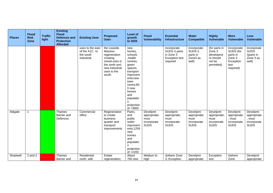| <b>Places</b> | <b>Flood</b><br><b>Risk</b><br>Zone | <b>Traffic</b><br>light | <b>Existing</b><br><b>Flood</b><br><b>Defences and</b><br><b>Protection</b><br><b>Afforded</b> | <b>Existing Uses</b>                                          | <b>Proposed</b><br><b>Uses</b>                                                                                                   | <b>Level of</b><br>growth<br>to 2025                                                                                                                                                               | <b>Flood</b><br><b>Vulnerability</b>                           | <b>Essential</b><br><b>Infrastructure</b>                                      | <b>Water</b><br><b>Compatible</b>                              | <b>Highly</b><br><b>Vulnerable</b>                                        | <b>More</b><br><b>Vulnerable</b>                                                 | <b>Less</b><br><b>Vulnerable</b>                                |
|---------------|-------------------------------------|-------------------------|------------------------------------------------------------------------------------------------|---------------------------------------------------------------|----------------------------------------------------------------------------------------------------------------------------------|----------------------------------------------------------------------------------------------------------------------------------------------------------------------------------------------------|----------------------------------------------------------------|--------------------------------------------------------------------------------|----------------------------------------------------------------|---------------------------------------------------------------------------|----------------------------------------------------------------------------------|-----------------------------------------------------------------|
|               |                                     |                         |                                                                                                | uses to the east<br>of the A12; to<br>the south<br>industrial | the Leaside.<br>Massive<br>regeneration<br>creating<br>mixed-uses in<br>the north and<br>new industrial<br>uses to the<br>south. | new<br>homes.<br>schools<br>,health<br>centres.<br>green<br>spaces,<br>transport<br>improvem<br>ents;new<br>town<br>centre;85<br>0 new<br>homes<br>and<br>populatio<br>n<br>projection<br>of +3900 |                                                                | incorporate<br>SUDS /( parts<br>in Zone 3<br><b>Exception test</b><br>required | incorporate<br>SUDS /(<br>parts in<br>Zone3 as<br>well)        | (for parts in<br>Zone 3<br>developme<br>nt should<br>not be<br>permitted) | incorporate<br>SUDS (for<br>parts in<br>Zone 3<br>Exception<br>test<br>required) | incorporate<br><b>SUDS</b><br>/(parts in<br>Zone 3 as<br>well)  |
| Aldgate       | 1                                   |                         | <b>Thames</b><br>Barrier and<br><b>Defences</b>                                                | Commercial<br>office                                          | Regeneration<br>to create<br>business<br>quarter and<br>transport<br>improvements                                                | Parks<br>and<br>public<br>realm<br>improvem<br>ents;1259<br>new<br>homes<br>and<br>populatio<br>n<br>projection<br>$of +2200$                                                                      | Develpmt<br>appropriate;<br>must<br>incorporate<br><b>SUDS</b> | Develpmt<br>appropriate;<br>must<br>incorporate<br><b>SUDS</b>                 | Develpmt<br>appropriate;<br>must<br>incorporate<br><b>SUDS</b> | Develpmt<br>appropriate;<br>must<br>incorporate<br><b>SUDS</b>            | Develpmt<br>appropriate<br>: must<br>incorporate<br><b>SUDS</b>                  | Develpmt<br>appropriate<br>; must<br>incorporate<br><b>SUDS</b> |
| Shadwell      | $2$ and $3$                         |                         | <b>Thames</b><br>Barrier and                                                                   | Residential<br>north, with                                    | Estate<br>regeneration;                                                                                                          | About<br>700 new                                                                                                                                                                                   | Medium to<br>high                                              | /(where Zone<br>3, Exception                                                   | Develpmt<br>appropriate;                                       | Exception<br>test                                                         | /(where<br>Zone                                                                  | Develpmt<br>appropriate                                         |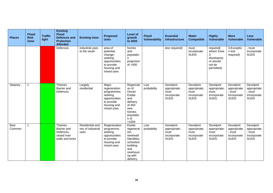| <b>Places</b> | <b>Flood</b><br><b>Risk</b><br>Zone | <b>Traffic</b><br>light | <b>Existing</b><br><b>Flood</b><br><b>Defences and</b><br><b>Protection</b><br><b>Afforded</b> | <b>Existing Uses</b>                         | <b>Proposed</b><br><b>Uses</b>                                                                              | <b>Level of</b><br>growth<br>to 2025                                                                                       | <b>Flood</b><br><b>Vulnerability</b> | <b>Essential</b><br><b>Infrastructure</b>                      | <b>Water</b><br><b>Compatible</b>                              | <b>Highly</b><br><b>Vulnerable</b>                                             | <b>More</b><br><b>Vulnerable</b>                                | <b>Less</b><br><b>Vulnerable</b>                                |
|---------------|-------------------------------------|-------------------------|------------------------------------------------------------------------------------------------|----------------------------------------------|-------------------------------------------------------------------------------------------------------------|----------------------------------------------------------------------------------------------------------------------------|--------------------------------------|----------------------------------------------------------------|----------------------------------------------------------------|--------------------------------------------------------------------------------|-----------------------------------------------------------------|-----------------------------------------------------------------|
|               |                                     |                         | Defences                                                                                       | industrial uses<br>to the south              | area of<br>potential<br>change;<br>seeking<br>opportunities<br>to provide<br>housing and<br>mixed uses      | homes<br>and<br>populatio<br>n.<br>projection<br>of +500                                                                   |                                      | tesr required)                                                 | must<br>incorporate<br><b>SUDS</b>                             | required(<br>where Zone<br>3<br>developme<br>nt should<br>not be<br>permitted) | 3, Exceptio<br>n test<br>required)                              | ; must<br>incorporate<br><b>SUDS</b>                            |
| Stepney       | 1                                   |                         | <b>Thames</b><br>Barrier and<br>Defences                                                       | Largely<br>residential                       | Major<br>regeneration<br>programmes;<br>seeking<br>opportunities<br>to provide<br>housing and<br>mixed uses | Regenrati<br>on of<br>Ocean<br>Estate<br>and<br>delivery<br>of 450<br>new<br>homes:<br>populatio<br>n of<br>$+1000$        | Low<br>probability                   | Develpmt<br>appropriate;<br>must<br>incorporate<br><b>SUDS</b> | Develpmt<br>appropriate;<br>must<br>incorporate<br><b>SUDS</b> | Develpmt<br>appropriate;<br>must<br>incorporate<br><b>SUDS</b>                 | Develpmt<br>appropriate<br>; must<br>incorporate<br><b>SUDS</b> | Develpmt<br>appropriate<br>; must<br>incorporate<br><b>SUDS</b> |
| Bow<br>Common | 1                                   |                         | Thames<br>Barrier and<br>Defences,<br>raised river<br>walls and locks                          | Residential and<br>mix of industrial<br>uses | Regeneration<br>programme;<br>seeking<br>opportunities<br>to provide<br>housing and<br>mixed uses           | Estate<br>regenerat<br>ion,<br>newhealt<br>hfacilities,<br>schoolsre<br>building<br>and<br>newhousi<br>ng with<br>delivery | Low<br>probability                   | Develpmt<br>appropriate;<br>must<br>incorporate<br><b>SUDS</b> | Develpmt<br>appropriate;<br>must<br>incorporate<br><b>SUDS</b> | Develpmt<br>appropriate;<br>must<br>incorporate<br><b>SUDS</b>                 | Develpmt<br>appropriate<br>; must<br>incorporate<br><b>SUDS</b> | Develpmt<br>appropriate<br>; must<br>incorporate<br><b>SUDS</b> |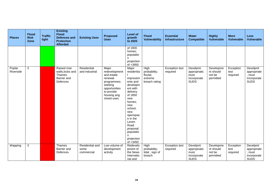| <b>Places</b>       | <b>Flood</b><br><b>Risk</b><br>Zone | <b>Traffic</b><br>light | <b>Existing</b><br><b>Flood</b><br><b>Defences and</b><br><b>Protection</b><br><b>Afforded</b> | <b>Existing Uses</b>                  | <b>Proposed</b><br><b>Uses</b>                                                                                                        | <b>Level of</b><br>growth<br>to 2025                                                                                                                                                                                                    | <b>Flood</b><br><b>Vulnerability</b>                         | <b>Essential</b><br><b>Infrastructure</b> | <b>Water</b><br><b>Compatible</b>                              | <b>Highly</b><br><b>Vulnerable</b>            | <b>More</b><br><b>Vulnerable</b> | <b>Less</b><br><b>Vulnerable</b>                                |
|---------------------|-------------------------------------|-------------------------|------------------------------------------------------------------------------------------------|---------------------------------------|---------------------------------------------------------------------------------------------------------------------------------------|-----------------------------------------------------------------------------------------------------------------------------------------------------------------------------------------------------------------------------------------|--------------------------------------------------------------|-------------------------------------------|----------------------------------------------------------------|-----------------------------------------------|----------------------------------|-----------------------------------------------------------------|
|                     |                                     |                         |                                                                                                |                                       |                                                                                                                                       | of 1900<br>homes;<br>populatio<br>n<br>projection<br>$of +3950$                                                                                                                                                                         |                                                              |                                           |                                                                |                                               |                                  |                                                                 |
| Poplar<br>Riverside | 3                                   |                         | Raised river<br>walls, locks and<br>Thames<br>Barrier and<br>Defences                          | Residential<br>and industrial         | Major<br>redevelopment<br>and estate<br>renewal<br>programmes;<br>seeking<br>opportunities<br>to provide<br>housing ang<br>mixed uses | Major<br>residentia<br>improvem<br>ents and<br>developm<br>ent with<br>delivery<br>of 1850<br>new<br>homes:<br>new<br>school,<br>new<br>openspac<br>e in the<br>Leven<br>Road<br>proposal;<br>populatio<br>n.<br>projection<br>of +3450 | High<br>probability;<br>fluvial,<br>extreme<br>breach rating | Exception test<br>required                | Develpmt<br>appropriate;<br>must<br>incorporate<br><b>SUDS</b> | Developme<br>nt should<br>not be<br>permitted | Exception<br>test<br>required    | Develpmt<br>appropriate<br>; must<br>incorporate<br><b>SUDS</b> |
| Wapping             | 3                                   |                         | Thames<br>Barrier and<br>Defences                                                              | Residential and<br>some<br>commercial | Low volume of<br>development<br>activity                                                                                              | Redevelo<br>pment of<br>the News<br>Internatio<br>nal and                                                                                                                                                                               | High<br>probability;<br>tidal, sign of<br>breach             | <b>Exception test</b><br>required         | Develpmt<br>appropriate;<br>must<br>incorporate<br><b>SUDS</b> | Developme<br>nt should<br>not be<br>permitted | Exception<br>test<br>required    | Develpmt<br>appropriate<br>; must<br>incorporate<br><b>SUDS</b> |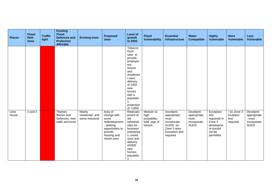| <b>Places</b> | <b>Flood</b><br><b>Risk</b><br>Zone | <b>Traffic</b><br>light | <b>Existing</b><br><b>Flood</b><br><b>Defences and</b><br><b>Protection</b><br><b>Afforded</b> | <b>Existing Uses</b>                         | <b>Proposed</b><br><b>Uses</b>                                                                                           | <b>Level of</b><br>growth<br>to 2025                                                                                                                                                                      | <b>Flood</b><br><b>Vulnerability</b>                          | <b>Essential</b><br>Infrastructure                                                                               | <b>Water</b><br><b>Compatible</b>                              | <b>Highly</b><br><b>Vulnerable</b>                                                          | <b>More</b><br><b>Vulnerable</b>             | <b>Less</b><br><b>Vulnerable</b>                                |
|---------------|-------------------------------------|-------------------------|------------------------------------------------------------------------------------------------|----------------------------------------------|--------------------------------------------------------------------------------------------------------------------------|-----------------------------------------------------------------------------------------------------------------------------------------------------------------------------------------------------------|---------------------------------------------------------------|------------------------------------------------------------------------------------------------------------------|----------------------------------------------------------------|---------------------------------------------------------------------------------------------|----------------------------------------------|-----------------------------------------------------------------|
|               |                                     |                         |                                                                                                |                                              |                                                                                                                          | Tobacco<br><b>Dock</b><br>sites to<br>provide<br>employm<br>ent,<br>leisure<br>and<br>residentia<br>I uses:<br>delivery<br>of 1450<br>new<br>homes<br>with a<br>populatio<br>n.<br>projection<br>of +1950 |                                                               |                                                                                                                  |                                                                |                                                                                             |                                              |                                                                 |
| Lime<br>house | $2$ and $3$                         |                         | Thames<br>Barrier and<br>Defences, river<br>walls and locks                                    | Mainly<br>residential and<br>some industrial | Area of<br>change with<br>some<br>redevelopment<br>; seeking<br>opportinities to<br>provide<br>housing and<br>mixed uses | Redevelo<br>pment of<br>old<br>industrial<br>sites for<br>business<br>enterprise<br>s, mixed<br>uses and<br>delivery<br>of1800<br>new<br>homes;<br>populatio<br>n.                                        | Meduim to<br>high<br>probability;<br>tidal, sign of<br>breach | Develpmt<br>appropriate;<br>must<br>incorporate<br>SUDS/ (in<br>Zone 3 area<br><b>Exception test</b><br>required | Develpmt<br>appropriate;<br>must<br>incorporate<br><b>SUDS</b> | Exception<br>test<br>required(in<br>Zone 3<br>developme<br>nt should<br>not be<br>permitted | / (in Zone 3<br>Eception<br>test<br>required | Develpmt<br>appropriate<br>; must<br>incorporate<br><b>SUDS</b> |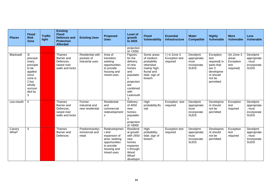| <b>Places</b>   | <b>Flood</b><br><b>Risk</b><br>Zone                                                                                       | <b>Traffic</b><br>light | <b>Existing</b><br><b>Flood</b><br><b>Defences and</b><br><b>Protection</b><br><b>Afforded</b> | <b>Existing Uses</b>                              | <b>Proposed</b><br><b>Uses</b>                                                                                     | <b>Level of</b><br>growth<br>to 2025                                                                                                   | <b>Flood</b><br><b>Vulnerability</b>                                                                           | <b>Essential</b><br>Infrastructure                            | <b>Water</b><br><b>Compatible</b>                              | <b>Highly</b><br><b>Vulnerable</b>                                                                       | <b>More</b><br><b>Vulnerable</b>                         | <b>Less</b><br><b>Vulnerable</b>                                |
|-----------------|---------------------------------------------------------------------------------------------------------------------------|-------------------------|------------------------------------------------------------------------------------------------|---------------------------------------------------|--------------------------------------------------------------------------------------------------------------------|----------------------------------------------------------------------------------------------------------------------------------------|----------------------------------------------------------------------------------------------------------------|---------------------------------------------------------------|----------------------------------------------------------------|----------------------------------------------------------------------------------------------------------|----------------------------------------------------------|-----------------------------------------------------------------|
|                 |                                                                                                                           |                         |                                                                                                |                                                   |                                                                                                                    | projection<br>of +3350                                                                                                                 |                                                                                                                |                                                               |                                                                |                                                                                                          |                                                          |                                                                 |
| Blackwall       | 3/<br>precauti<br>onary<br>principle<br>to be<br>applied<br>since<br>zone is<br>2 but<br>wholly<br>surroun<br>ded by<br>3 |                         | Thames<br>Barrier and<br>Defences.<br>raised river<br>walls and locks                          | Residential with<br>pockets of<br>industrial uses | Area of<br>transition;<br>seeking<br>opportunities<br>to provide<br>housing and<br>mixed uses                      | Figures<br>for the<br>delivery<br>of new<br>homes<br>and<br>populatio<br>n.<br>projection<br>are<br>combined<br>with<br>Leamouth<br>'s | Some areas<br>of medium<br>probability<br>otherwise<br>mainly high;<br>fluvial and<br>tidal- sign of<br>breach | $\frac{7}{10}$ in Zone 3<br><b>Exception test</b><br>required | Develpmt<br>appropriate;<br>must<br>incorporate<br><b>SUDS</b> | Exception<br>test<br>required(in<br>parts that<br>are 3<br>developme<br>nt should<br>not be<br>permitted | /(in Zone $3$<br>areas<br>Exception<br>test<br>required) | Develpmt<br>appropriate<br>; must<br>incorporate<br><b>SUDS</b> |
| Lea-mouth       | 3                                                                                                                         |                         | Thames<br>Barrier and<br>Defences,<br>raised river<br>walls and locks                          | Former<br>industrial and<br>new residential       | Residential<br>and<br>commercial<br>redevelopment<br>s                                                             | Delivery<br>of 4050<br>new<br>homes:<br>populatio<br>n<br>projection<br>$of +8000$                                                     | High<br>probability;flu<br>vial                                                                                | Exception test<br>required                                    | Develpmt<br>appropriate;<br>must<br>incorporate<br><b>SUDS</b> | Developme<br>nt should<br>not be<br>permitted                                                            | Exception<br>test<br>required                            | Develpmt<br>appropriate<br>; must<br>incorporate<br><b>SUDS</b> |
| Canary<br>Wharf | $\sqrt{3}$                                                                                                                |                         | Thames<br>Barrier and<br>Defences                                                              | Predominantlyc<br>ommercial and<br>retail         | Redevelopmen<br>t and<br>expansion of<br>area; seeking<br>opportunities<br>to provide<br>housing and<br>mixed uses | Residenti<br>al growth<br>with 2650<br>new<br>homes<br>expansio<br>n through<br>Wood<br>Wharf<br>developm                              | High<br>probability;<br>tidal , sign of<br>breach                                                              | <b>Exception test</b><br>required                             | Develpmt<br>appropriate;<br>must<br>incorporate<br><b>SUDS</b> | Developme<br>nt should<br>not be<br>permitted                                                            | Exception<br>test<br>required                            | Develpmt<br>appropriate<br>; must<br>incorporate<br><b>SUDS</b> |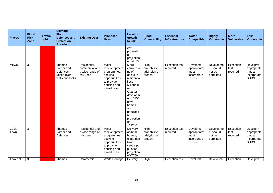| <b>Places</b>  | <b>Flood</b><br><b>Risk</b><br>Zone | <b>Traffic</b><br>light | <b>Existing</b><br><b>Flood</b><br><b>Defences and</b><br><b>Protection</b><br><b>Afforded</b> | <b>Existing Uses</b>                                          | <b>Proposed</b><br><b>Uses</b>                                                                               | <b>Level of</b><br>growth<br>to 2025                                                                                                                                                          | <b>Flood</b><br><b>Vulnerability</b>             | <b>Essential</b><br><b>Infrastructure</b> | <b>Water</b><br><b>Compatible</b>                              | <b>Highly</b><br><b>Vulnerable</b>            | <b>More</b><br><b>Vulnerable</b> | <b>Less</b><br><b>Vulnerable</b>                                |
|----------------|-------------------------------------|-------------------------|------------------------------------------------------------------------------------------------|---------------------------------------------------------------|--------------------------------------------------------------------------------------------------------------|-----------------------------------------------------------------------------------------------------------------------------------------------------------------------------------------------|--------------------------------------------------|-------------------------------------------|----------------------------------------------------------------|-----------------------------------------------|----------------------------------|-----------------------------------------------------------------|
|                |                                     |                         |                                                                                                |                                                               |                                                                                                              | ent;<br>populatio<br>n.<br>projection<br>of +4850                                                                                                                                             |                                                  |                                           |                                                                |                                               |                                  |                                                                 |
| Millwall       | 3                                   |                         | Thames<br>Barrier and<br>Defences,<br>raised river<br>walls and locks                          | Residential,<br>commercial and<br>a wide range of<br>mix uses | Major<br>redevelopment<br>programmes;<br>seeking<br>opportunities<br>to provide<br>housing and<br>mixed uses | More<br>conversio<br>ns of<br>docks to<br>residentia<br>I use,<br>Millenniu<br>m<br>Quarter<br>developm<br>ent; 6150<br>new<br>homes<br>and<br>populatio<br>n<br>projection<br>of<br>$+11200$ | High<br>probability;<br>tidal, sign of<br>breach | <b>Exception test</b><br>required         | Develpmt<br>appropriate;<br>must<br>incorporate<br><b>SUDS</b> | Developme<br>nt should<br>not be<br>permitted | Exception<br>test<br>required    | Develpmt<br>appropriate<br>; must<br>incorporate<br><b>SUDS</b> |
| Cubitt<br>Town | 3                                   |                         | Thames<br>Barrier and<br>Defences                                                              | Residential and<br>a wide range of<br>mix uses                | Major<br>redevelopment<br>programmes;<br>seeking<br>opportunities<br>to provide<br>housing and<br>mixed uses | Delivery<br>of 4200<br>homes,<br>expanded<br>town<br>centre;po<br>pulation<br>projection<br>of+7750                                                                                           | High<br>probability;<br>tidal, sign of<br>breach | <b>Exception test</b><br>required         | Develpmt<br>appropriate;<br>must<br>incorporate<br><b>SUDS</b> | Developme<br>nt should<br>not be<br>permitted | Exception<br>test<br>required    | Develpmt<br>appropriate<br>; must<br>incorporate<br><b>SUDS</b> |
| Tower of       | 3                                   |                         | Thames                                                                                         | Commercial                                                    | World Heritage                                                                                               | Delivery                                                                                                                                                                                      | High                                             | <b>Exception test</b>                     | Develpmt                                                       | Developme                                     | Exception                        | Develpmt                                                        |